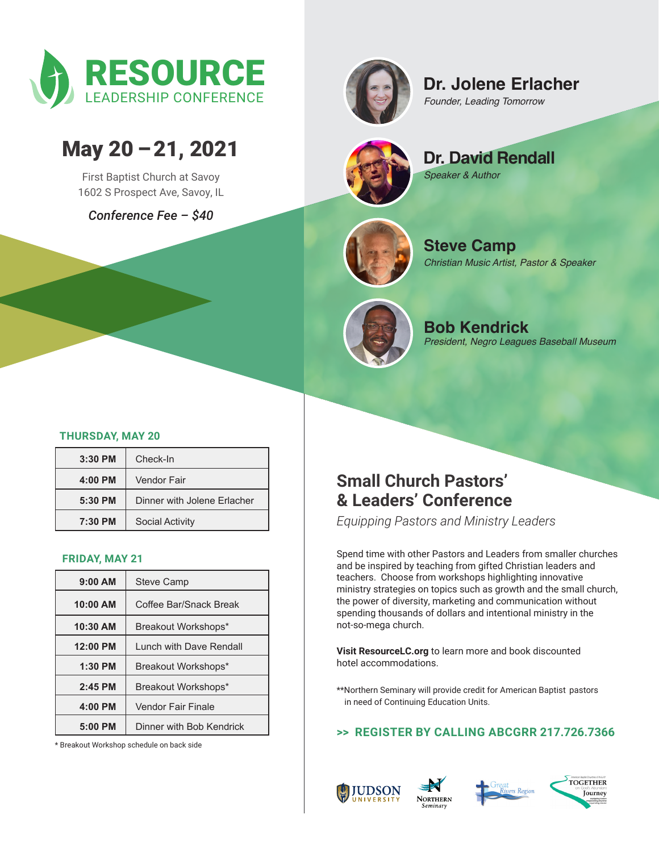



## **Dr. Jolene Erlacher**

*Founder, Leading Tomorrow*

# May 20 – 21, 2021

First Baptist Church at Savoy 1602 S Prospect Ave, Savoy, IL

*Conference Fee – \$40*



**Dr. David Rendall** *Speaker & Author* 



**Steve Camp** *Christian Music Artist, Pastor & Speaker*



**Bob Kendrick** *President, Negro Leagues Baseball Museum*

### **THURSDAY, MAY 20**

| $3:30$ PM | Check-In                    |
|-----------|-----------------------------|
| $4:00$ PM | Vendor Fair                 |
| $5:30$ PM | Dinner with Jolene Erlacher |
| 7:30 PM   | <b>Social Activity</b>      |

#### **FRIDAY, MAY 21**

| $9:00$ AM | <b>Steve Camp</b>        |
|-----------|--------------------------|
| 10:00 AM  | Coffee Bar/Snack Break   |
| 10:30 AM  | Breakout Workshops*      |
| 12:00 PM  | Lunch with Dave Rendall  |
| $1:30$ PM | Breakout Workshops*      |
| $2:45$ PM | Breakout Workshops*      |
| 4:00 PM   | Vendor Fair Finale       |
| $5:00$ PM | Dinner with Bob Kendrick |

\* Breakout Workshop schedule on back side

### **Small Church Pastors' & Leaders' Conference**

*Equipping Pastors and Ministry Leaders*

Spend time with other Pastors and Leaders from smaller churches and be inspired by teaching from gifted Christian leaders and teachers. Choose from workshops highlighting innovative ministry strategies on topics such as growth and the small church, the power of diversity, marketing and communication without spending thousands of dollars and intentional ministry in the not-so-mega church.

**Visit ResourceLC.org** to learn more and book discounted hotel accommodations.

\*\*Northern Seminary will provide credit for American Baptist pastors in need of Continuing Education Units.

**>> REGISTER BY CALLING ABCGRR 217.726.7366**